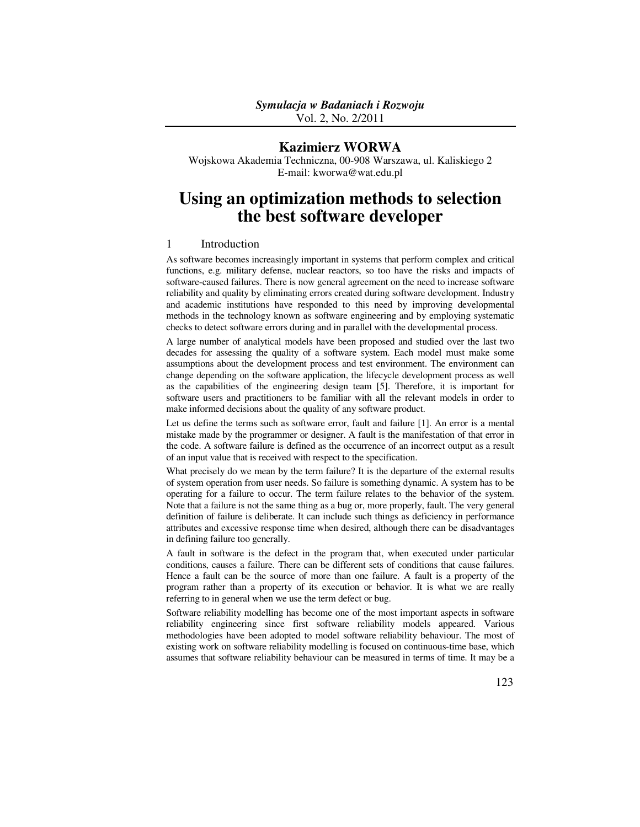Vol. 2, No. 2/2011

## **Kazimierz WORWA**

Wojskowa Akademia Techniczna, 00-908 Warszawa, ul. Kaliskiego 2 E-mail: kworwa@wat.edu.pl

# **Using an optimization methods to selection the best software developer**

## 1 Introduction

As software becomes increasingly important in systems that perform complex and critical functions, e.g. military defense, nuclear reactors, so too have the risks and impacts of software-caused failures. There is now general agreement on the need to increase software reliability and quality by eliminating errors created during software development. Industry and academic institutions have responded to this need by improving developmental methods in the technology known as software engineering and by employing systematic checks to detect software errors during and in parallel with the developmental process.

A large number of analytical models have been proposed and studied over the last two decades for assessing the quality of a software system. Each model must make some assumptions about the development process and test environment. The environment can change depending on the software application, the lifecycle development process as well as the capabilities of the engineering design team [5]. Therefore, it is important for software users and practitioners to be familiar with all the relevant models in order to make informed decisions about the quality of any software product.

Let us define the terms such as software error, fault and failure [1]. An error is a mental mistake made by the programmer or designer. A fault is the manifestation of that error in the code. A software failure is defined as the occurrence of an incorrect output as a result of an input value that is received with respect to the specification.

What precisely do we mean by the term failure? It is the departure of the external results of system operation from user needs. So failure is something dynamic. A system has to be operating for a failure to occur. The term failure relates to the behavior of the system. Note that a failure is not the same thing as a bug or, more properly, fault. The very general definition of failure is deliberate. It can include such things as deficiency in performance attributes and excessive response time when desired, although there can be disadvantages in defining failure too generally.

A fault in software is the defect in the program that, when executed under particular conditions, causes a failure. There can be different sets of conditions that cause failures. Hence a fault can be the source of more than one failure. A fault is a property of the program rather than a property of its execution or behavior. It is what we are really referring to in general when we use the term defect or bug.

Software reliability modelling has become one of the most important aspects in software reliability engineering since first software reliability models appeared. Various methodologies have been adopted to model software reliability behaviour. The most of existing work on software reliability modelling is focused on continuous-time base, which assumes that software reliability behaviour can be measured in terms of time. It may be a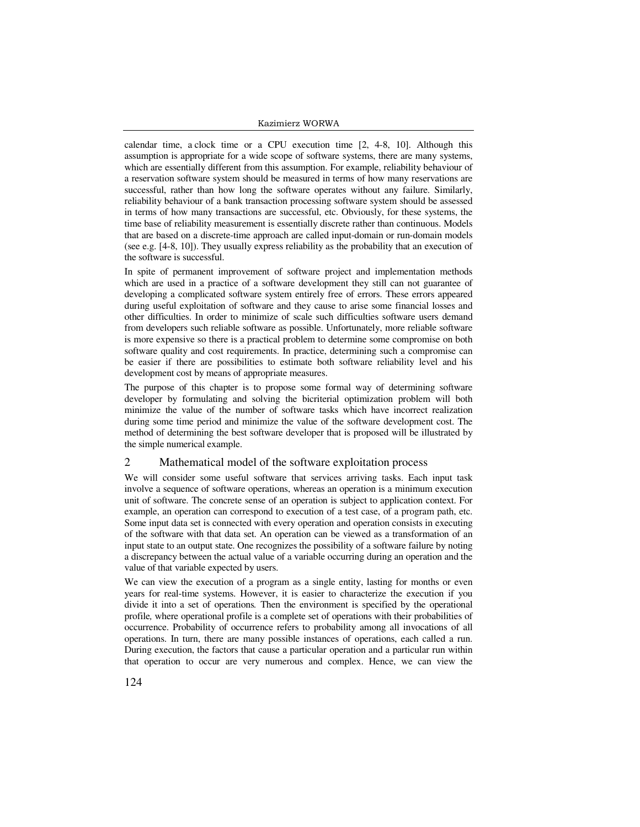#### Kazimierz WORWA

calendar time, a clock time or a CPU execution time [2, 4-8, 10]. Although this assumption is appropriate for a wide scope of software systems, there are many systems, which are essentially different from this assumption. For example, reliability behaviour of a reservation software system should be measured in terms of how many reservations are successful, rather than how long the software operates without any failure. Similarly, reliability behaviour of a bank transaction processing software system should be assessed in terms of how many transactions are successful, etc. Obviously, for these systems, the time base of reliability measurement is essentially discrete rather than continuous. Models that are based on a discrete-time approach are called input-domain or run-domain models (see e.g. [4-8, 10]). They usually express reliability as the probability that an execution of the software is successful.

In spite of permanent improvement of software project and implementation methods which are used in a practice of a software development they still can not guarantee of developing a complicated software system entirely free of errors. These errors appeared during useful exploitation of software and they cause to arise some financial losses and other difficulties. In order to minimize of scale such difficulties software users demand from developers such reliable software as possible. Unfortunately, more reliable software is more expensive so there is a practical problem to determine some compromise on both software quality and cost requirements. In practice, determining such a compromise can be easier if there are possibilities to estimate both software reliability level and his development cost by means of appropriate measures.

The purpose of this chapter is to propose some formal way of determining software developer by formulating and solving the bicriterial optimization problem will both minimize the value of the number of software tasks which have incorrect realization during some time period and minimize the value of the software development cost. The method of determining the best software developer that is proposed will be illustrated by the simple numerical example.

### 2 Mathematical model of the software exploitation process

We will consider some useful software that services arriving tasks. Each input task involve a sequence of software operations, whereas an operation is a minimum execution unit of software. The concrete sense of an operation is subject to application context. For example, an operation can correspond to execution of a test case, of a program path, etc. Some input data set is connected with every operation and operation consists in executing of the software with that data set. An operation can be viewed as a transformation of an input state to an output state. One recognizes the possibility of a software failure by noting a discrepancy between the actual value of a variable occurring during an operation and the value of that variable expected by users.

We can view the execution of a program as a single entity, lasting for months or even years for real-time systems. However, it is easier to characterize the execution if you divide it into a set of operations*.* Then the environment is specified by the operational profile*,* where operational profile is a complete set of operations with their probabilities of occurrence. Probability of occurrence refers to probability among all invocations of all operations. In turn, there are many possible instances of operations, each called a run. During execution, the factors that cause a particular operation and a particular run within that operation to occur are very numerous and complex. Hence, we can view the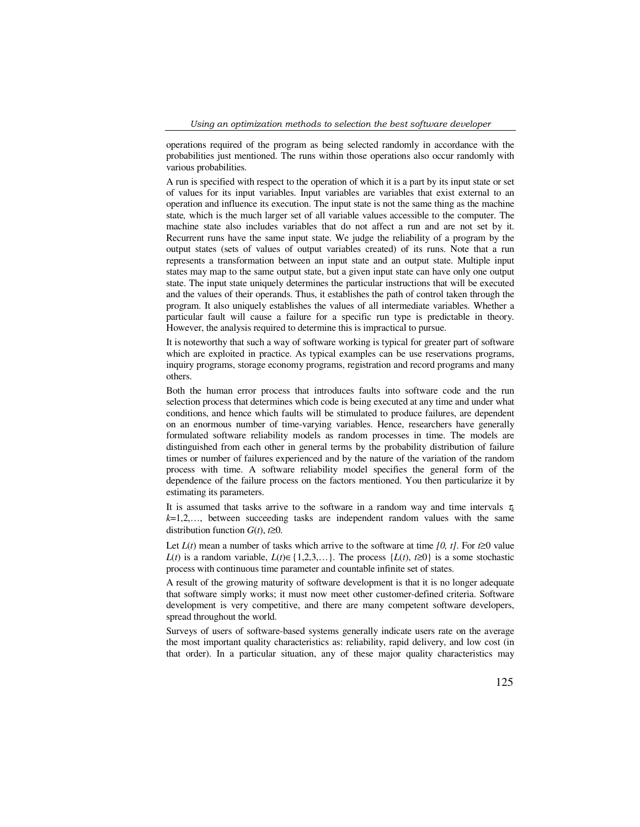operations required of the program as being selected randomly in accordance with the probabilities just mentioned. The runs within those operations also occur randomly with various probabilities.

A run is specified with respect to the operation of which it is a part by its input state or set of values for its input variables. Input variables are variables that exist external to an operation and influence its execution. The input state is not the same thing as the machine state*,* which is the much larger set of all variable values accessible to the computer. The machine state also includes variables that do not affect a run and are not set by it. Recurrent runs have the same input state. We judge the reliability of a program by the output states (sets of values of output variables created) of its runs. Note that a run represents a transformation between an input state and an output state. Multiple input states may map to the same output state, but a given input state can have only one output state. The input state uniquely determines the particular instructions that will be executed and the values of their operands. Thus, it establishes the path of control taken through the program. It also uniquely establishes the values of all intermediate variables. Whether a particular fault will cause a failure for a specific run type is predictable in theory. However, the analysis required to determine this is impractical to pursue.

It is noteworthy that such a way of software working is typical for greater part of software which are exploited in practice. As typical examples can be use reservations programs, inquiry programs, storage economy programs, registration and record programs and many others.

Both the human error process that introduces faults into software code and the run selection process that determines which code is being executed at any time and under what conditions, and hence which faults will be stimulated to produce failures, are dependent on an enormous number of time-varying variables. Hence, researchers have generally formulated software reliability models as random processes in time. The models are distinguished from each other in general terms by the probability distribution of failure times or number of failures experienced and by the nature of the variation of the random process with time. A software reliability model specifies the general form of the dependence of the failure process on the factors mentioned. You then particularize it by estimating its parameters.

It is assumed that tasks arrive to the software in a random way and time intervals  $\tau<sub>k</sub>$  $k=1,2,...$ , between succeeding tasks are independent random values with the same distribution function  $G(t)$ ,  $t \geq 0$ .

Let  $L(t)$  mean a number of tasks which arrive to the software at time  $[0, t]$ . For  $t \ge 0$  value *L*(*t*) is a random variable, *L*(*t*)∈{1,2,3,...}. The process {*L*(*t*), *t*≥0} is a some stochastic process with continuous time parameter and countable infinite set of states.

A result of the growing maturity of software development is that it is no longer adequate that software simply works; it must now meet other customer-defined criteria. Software development is very competitive, and there are many competent software developers, spread throughout the world.

Surveys of users of software-based systems generally indicate users rate on the average the most important quality characteristics as: reliability, rapid delivery, and low cost (in that order). In a particular situation, any of these major quality characteristics may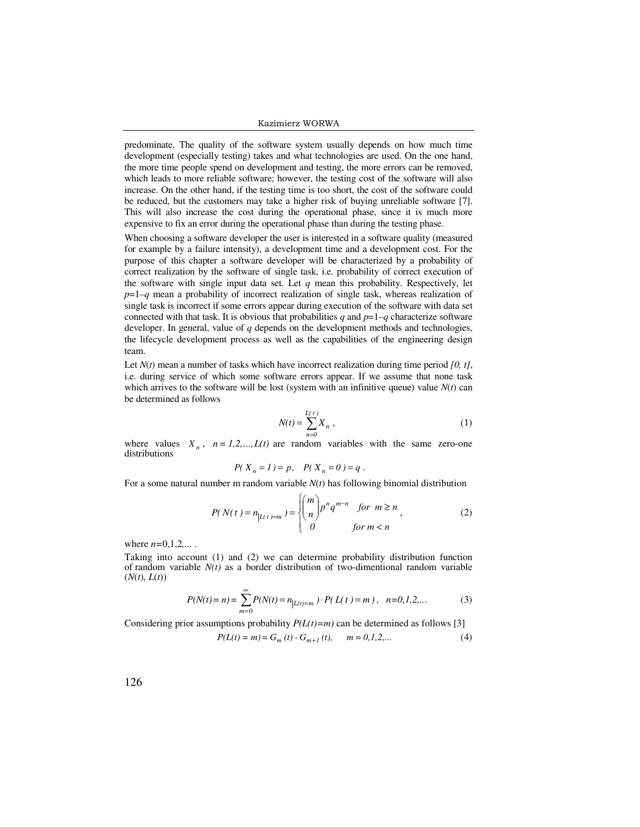#### Kazimierz WORWA

predominate. The quality of the software system usually depends on how much time development (especially testing) takes and what technologies are used. On the one hand, the more time people spend on development and testing, the more errors can be removed, which leads to more reliable software; however, the testing cost of the software will also increase. On the other hand, if the testing time is too short, the cost of the software could be reduced, but the customers may take a higher risk of buying unreliable software [7]. This will also increase the cost during the operational phase, since it is much more expensive to fix an error during the operational phase than during the testing phase.

When choosing a software developer the user is interested in a software quality (measured for example by a failure intensity), a development time and a development cost. For the purpose of this chapter a software developer will be characterized by a probability of correct realization by the software of single task, i.e. probability of correct execution of the software with single input data set. Let  $q$  mean this probability. Respectively, let *p*=1–*q* mean a probability of incorrect realization of single task, whereas realization of single task is incorrect if some errors appear during execution of the software with data set connected with that task. It is obvious that probabilities *q* and  $p=1-q$  characterize software developer. In general, value of *q* depends on the development methods and technologies, the lifecycle development process as well as the capabilities of the engineering design team.

Let *N*(*t*) mean a number of tasks which have incorrect realization during time period [0, t], i.e. during service of which some software errors appear. If we assume that none task which arrives to the software will be lost (system with an infinitive queue) value  $N(t)$  can be determined as follows

$$
N(t) = \sum_{n=0}^{L(t)} X_n,
$$
 (1)

where values  $X_n$ ,  $n = 1, 2, ..., L(t)$  are random variables with the same zero-one distributions

$$
P(X_n = 1) = p, \quad P(X_n = 0) = q.
$$

For a some natural number m random variable *N*(*t*) has following binomial distribution

$$
P(N(t)) = n_{|L(t)|=m} = \begin{cases} {m \choose n} p^n q^{m-n} & \text{for } m \ge n \\ 0 & \text{for } m < n \end{cases},\tag{2}
$$

where *n=*0,1,2*,...* .

Taking into account (1) and (2) we can determine probability distribution function of random variable  $N(t)$  as a border distribution of two-dimentional random variable  $(N(t), L(t))$ 

$$
P(N(t) = n) = \sum_{m=0}^{\infty} P(N(t) = n_{\vert L(t) = m}) \cdot P(L(t) = m), \quad n = 0, 1, 2, \dots
$$
 (3)

Considering prior assumptions probability  $P(L(t)=m)$  can be determined as follows [3]

$$
P(L(t) = m) = G_m(t) - G_{m+1}(t), \qquad m = 0, 1, 2, \dots
$$
 (4)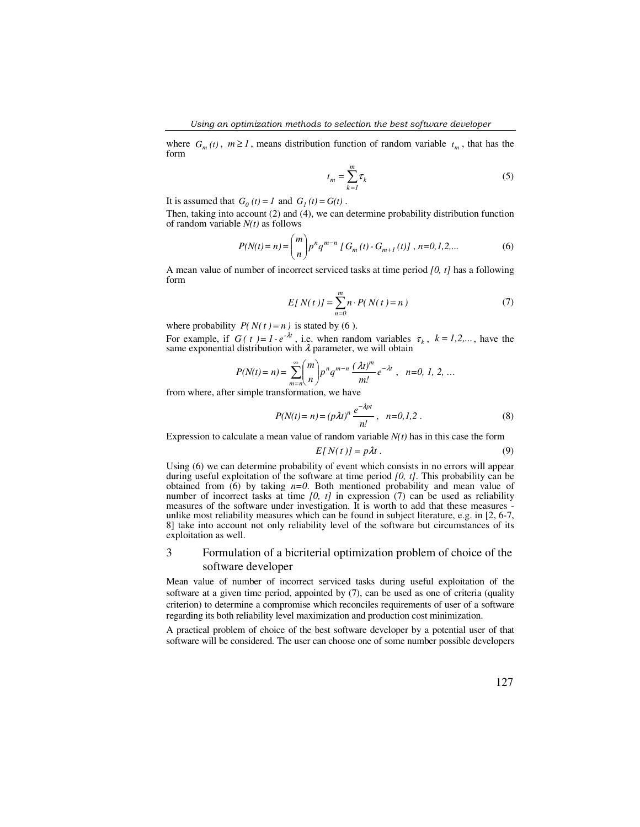where  $G_m(t)$ ,  $m \ge 1$ , means distribution function of random variable  $t_m$ , that has the form

$$
t_m = \sum_{k=1}^{m} \tau_k \tag{5}
$$

It is assumed that  $G_0(t) = 1$  and  $G_1(t) = G(t)$ .

Then, taking into account (2) and (4), we can determine probability distribution function of random variable *N(t)* as follows

$$
P(N(t) = n) = {m \choose n} p^n q^{m-n} [G_m(t) - G_{m+1}(t)] , n = 0, 1, 2, ... \tag{6}
$$

A mean value of number of incorrect serviced tasks at time period *[0, t]* has a following form

$$
E[N(t)] = \sum_{n=0}^{m} n \cdot P(N(t) = n)
$$
\n(7)

where probability  $P(N(t) = n)$  is stated by (6).

For example, if  $G(t) = 1 - e^{-\lambda t}$ , i.e. when random variables  $\tau_k$ ,  $k = 1, 2,...$ , have the same exponential distribution with  $\lambda$  parameter, we will obtain

$$
P(N(t) = n) = \sum_{m=n}^{\infty} {m \choose n} p^n q^{m-n} \frac{(\lambda t)^m}{m!} e^{-\lambda t}, \quad n = 0, 1, 2, ...
$$

from where, after simple transformation, we have

$$
P(N(t) = n) = (p\lambda t)^n \frac{e^{-\lambda pt}}{n!}, \quad n = 0, 1, 2.
$$
 (8)

Expression to calculate a mean value of random variable  $N(t)$  has in this case the form

$$
E[N(t)] = p\lambda t. \tag{9}
$$

Using (6) we can determine probability of event which consists in no errors will appear during useful exploitation of the software at time period *[0, t]*. This probability can be obtained from  $\overline{(6)}$  by taking  $n=0$ . Both mentioned probability and mean value of number of incorrect tasks at time *[0, t]* in expression (7) can be used as reliability measures of the software under investigation. It is worth to add that these measures unlike most reliability measures which can be found in subject literature, e.g. in [2, 6-7, 8] take into account not only reliability level of the software but circumstances of its exploitation as well.

## 3 Formulation of a bicriterial optimization problem of choice of the software developer

Mean value of number of incorrect serviced tasks during useful exploitation of the software at a given time period, appointed by (7), can be used as one of criteria (quality criterion) to determine a compromise which reconciles requirements of user of a software regarding its both reliability level maximization and production cost minimization.

A practical problem of choice of the best software developer by a potential user of that software will be considered. The user can choose one of some number possible developers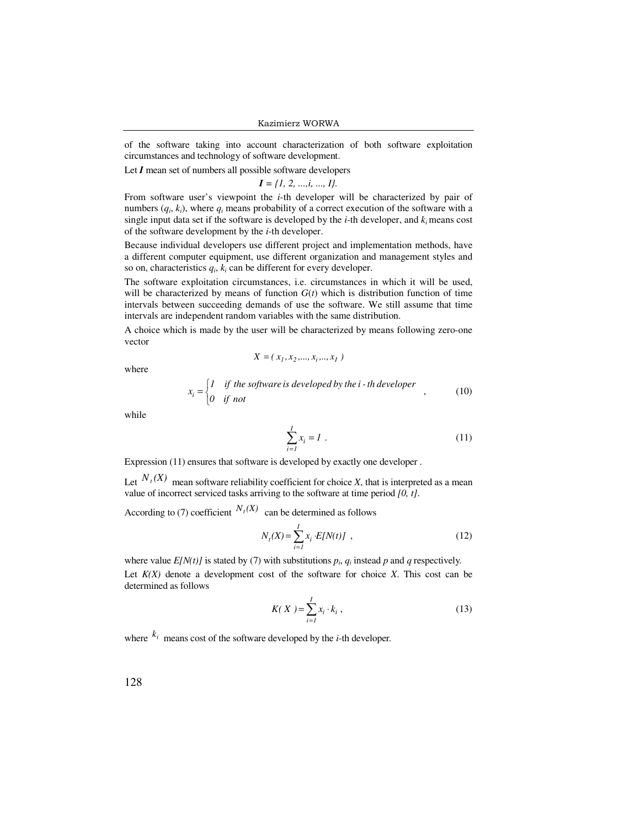of the software taking into account characterization of both software exploitation circumstances and technology of software development.

Let *I* mean set of numbers all possible software developers *I = {1, 2, ...,i, ..., I}.* 

$$
I = \{1, 2, ..., l, ..., l\}.
$$

From software user's viewpoint the *i*-th developer will be characterized by pair of numbers  $(q_i, k_i)$ , where  $q_i$  means probability of a correct execution of the software with a single input data set if the software is developed by the *i*-th developer, and  $k_i$  means cost of the software development by the *i*-th developer.

Because individual developers use different project and implementation methods, have a different computer equipment, use different organization and management styles and so on, characteristics  $q_i$ ,  $k_i$  can be different for every developer.

The software exploitation circumstances, i.e. circumstances in which it will be used, will be characterized by means of function *G*(*t*) which is distribution function of time intervals between succeeding demands of use the software. We still assume that time intervals are independent random variables with the same distribution.

A choice which is made by the user will be characterized by means following zero-one vector

where

$$
X = (x_1, x_2, \dots, x_i, \dots, x_I)
$$

$$
x_i = \begin{cases} 1 & \text{if the software is developed by the } i \text{-th developer} \\ 0 & \text{if not} \end{cases}
$$
 (10)

while

$$
\sum_{i=1}^{I} x_i = I \tag{11}
$$

Expression (11) ensures that software is developed by exactly one developer .

Let  $N_t(X)$  mean software reliability coefficient for choice X, that is interpreted as a mean value of incorrect serviced tasks arriving to the software at time period *[0, t]*.

According to (7) coefficient  $N_t(X)$  can be determined as follows

$$
N_t(X) = \sum_{i=1}^{I} x_i \cdot E[N(t)] \quad , \tag{12}
$$

where value  $E[N(t)]$  is stated by (7) with substitutions  $p_i$ ,  $q_i$  instead  $p$  and  $q$  respectively. Let  $K(X)$  denote a development cost of the software for choice  $X$ . This cost can be determined as follows

$$
K(X) = \sum_{i=1}^{I} x_i \cdot k_i,
$$
\n(13)

where  $k_i$  means cost of the software developed by the *i*-th developer.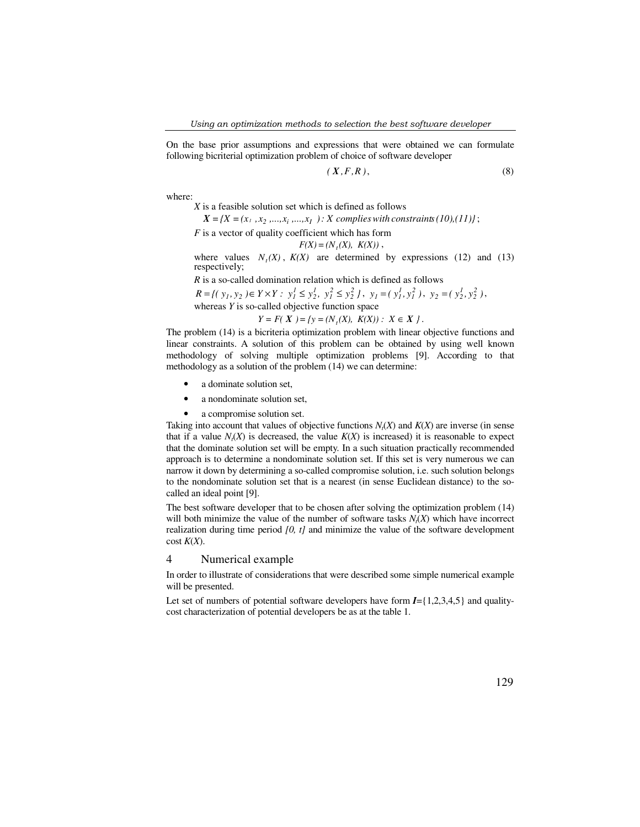On the base prior assumptions and expressions that were obtained we can formulate following bicriterial optimization problem of choice of software developer

$$
(X, F, R), \tag{8}
$$

where:

*X* is a feasible solution set which is defined as follows

 $X = \{X = (x_1, x_2, \ldots, x_i, \ldots, x_l) : X \text{ complies with constraints (10), (11)}\}$ ;

*F* is a vector of quality coefficient which has form

$$
F(X) = (N_t(X), K(X))
$$
,

where values  $N_t(X)$ ,  $K(X)$  are determined by expressions (12) and (13) respectively;

*R* is a so-called domination relation which is defined as follows

$$
R = \{ (y_1, y_2) \in Y \times Y : y_1^1 \le y_2^1, y_1^2 \le y_2^2 \}, y_1 = (y_1^1, y_1^2), y_2 = (y_2^1, y_2^2),
$$
  
whereas *Y* is so-called objective function space  

$$
Y = F(X) = \{ y = (N_t(X), K(X)) : X \in X \}.
$$

The problem (14) is a bicriteria optimization problem with linear objective functions and linear constraints. A solution of this problem can be obtained by using well known methodology of solving multiple optimization problems [9]. According to that methodology as a solution of the problem (14) we can determine:

- a dominate solution set,
- a nondominate solution set,
- a compromise solution set.

Taking into account that values of objective functions  $N_t(X)$  and  $K(X)$  are inverse (in sense that if a value  $N_t(X)$  is decreased, the value  $K(X)$  is increased) it is reasonable to expect that the dominate solution set will be empty. In a such situation practically recommended approach is to determine a nondominate solution set. If this set is very numerous we can narrow it down by determining a so-called compromise solution, i.e. such solution belongs to the nondominate solution set that is a nearest (in sense Euclidean distance) to the socalled an ideal point [9].

The best software developer that to be chosen after solving the optimization problem (14) will both minimize the value of the number of software tasks *Nt*(*X*) which have incorrect realization during time period *[0, t]* and minimize the value of the software development cost *K*(*X*).

### 4 Numerical example

In order to illustrate of considerations that were described some simple numerical example will be presented.

Let set of numbers of potential software developers have form  $I = \{1,2,3,4,5\}$  and qualitycost characterization of potential developers be as at the table 1.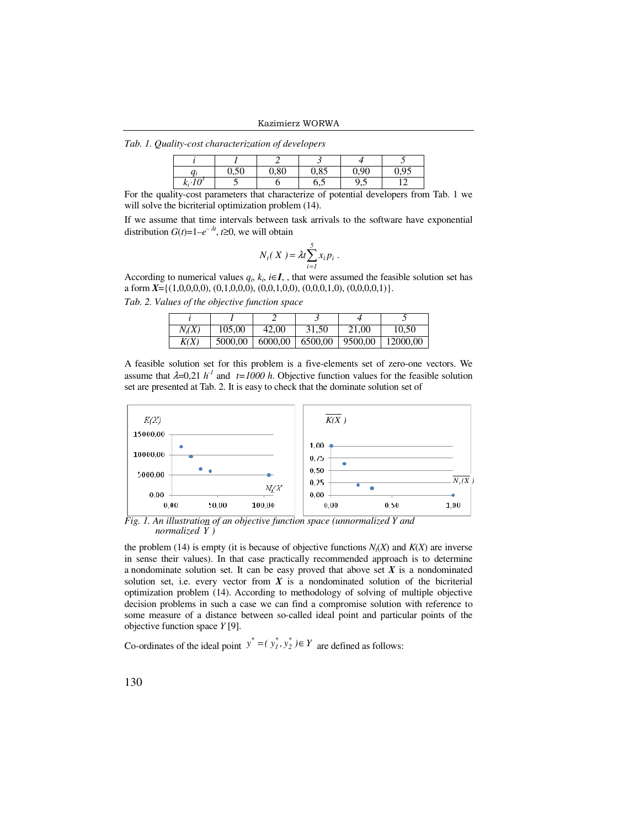*Tab. 1. Quality-cost characterization of developers*

|                           | 0,50 | $_{0,80}$ | 0,85 | $_{0,90}$ | በ 05 |
|---------------------------|------|-----------|------|-----------|------|
| $k_i \cdot l \mathcal{O}$ |      |           | ບູ   | س و م     | . .  |

For the quality-cost parameters that characterize of potential developers from Tab. 1 we will solve the bicriterial optimization problem (14).

If we assume that time intervals between task arrivals to the software have exponential distribution  $G(t)=1-e^{-\lambda t}$ ,  $t\geq 0$ , we will obtain

$$
N_t(X)=\lambda t \sum_{i=1}^5 x_i p_i.
$$

According to numerical values  $q_i$ ,  $k_i$ ,  $i \in I$ , that were assumed the feasible solution set has a form *X*={(1,0,0,0,0), (0,1,0,0,0), (0,0,1,0,0), (0,0,0,1,0), (0,0,0,0,1)}.

*Tab. 2. Values of the objective function space* 

|          |         |         | ັ       |         |          |
|----------|---------|---------|---------|---------|----------|
| $N_t(X)$ | 105.00  | 42.00   | 31.50   | 21.00   | 10.50    |
| $K\!X$   | 5000.00 | 6000.00 | 6500.00 | 9500,00 | 12000.00 |

A feasible solution set for this problem is a five-elements set of zero-one vectors. We assume that  $\lambda = 0.21$   $h^{\text{T}}$  and  $t = 1000$  *h*. Objective function values for the feasible solution set are presented at Tab. 2. It is easy to check that the dominate solution set of



 *Fig. 1. An illustration of an objective function space (unnormalized Y and normalized Y )* 

the problem (14) is empty (it is because of objective functions  $N_f(X)$  and  $K(X)$  are inverse in sense their values). In that case practically recommended approach is to determine a nondominate solution set. It can be easy proved that above set *X* is a nondominated solution set, i.e. every vector from  $X$  is a nondominated solution of the bicriterial optimization problem (14). According to methodology of solving of multiple objective decision problems in such a case we can find a compromise solution with reference to some measure of a distance between so-called ideal point and particular points of the objective function space *Y* [9].

Co-ordinates of the ideal point  $y^* = (y_1^*, y_2^*) \in Y$  are defined as follows:

130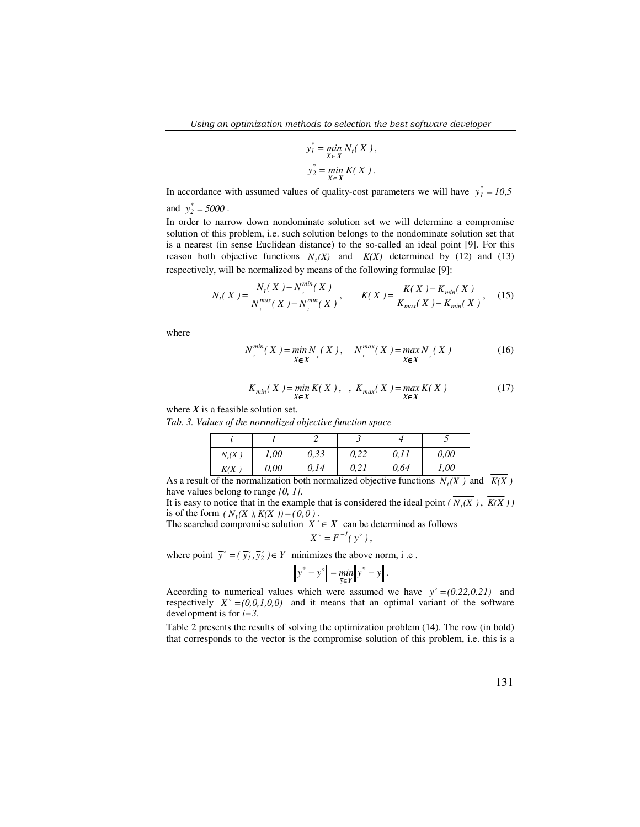$$
y_I^* = \min_{X \in X} N_t(X),
$$
  

$$
y_2^* = \min_{X \in X} K(X).
$$

In accordance with assumed values of quality-cost parameters we will have  $y_l^* = 10.5$ and  $y_2^* = 5000$ .

In order to narrow down nondominate solution set we will determine a compromise solution of this problem, i.e. such solution belongs to the nondominate solution set that is a nearest (in sense Euclidean distance) to the so-called an ideal point [9]. For this reason both objective functions  $N_t(X)$  and  $K(X)$  determined by (12) and (13) respectively, will be normalized by means of the following formulae [9]:

$$
\overline{N_t(X)} = \frac{N_t(X) - N_t^{min}(X)}{N_t^{max}(X) - N_t^{min}(X)}, \qquad \overline{K(X)} = \frac{K(X) - K_{min}(X)}{K_{max}(X) - K_{min}(X)},
$$
(15)

where

$$
N_{i}^{min}(X) = \min_{X \in X} N_{i}(X), \quad N_{i}^{max}(X) = \max_{X \in X} N_{i}(X)
$$
 (16)

$$
K_{min}(X) = \min_{X \in X} K(X), \quad, K_{max}(X) = \max_{X \in X} K(X)
$$
\n
$$
(17)
$$

where  $X$  is a feasible solution set.

*Tab. 3. Values of the normalized objective function space* 

|          |             |      | ب    |      |      |
|----------|-------------|------|------|------|------|
| $N_t(X)$ | $1,00^{-5}$ | 0,33 | 0,22 | 0,11 | 0.00 |
| K(X)     | 0,00        | 0,14 | 0,21 | 0.64 | 1,00 |

As a result of the normalization both normalized objective functions  $N_t(X)$  and  $K(X)$ have values belong to range *[0, 1].*

It is easy to notice that in the example that is considered the ideal point  $(N_t(X), K(X))$ is of the form  $(N_t(X), K(X)) = (0,0)$ .

The searched compromise solution  $X^\circ \in X$  can be determined as follows  $X^{\circ} = \overline{F}^{-1}(\overline{y}^{\circ}),$ 

where point  $\bar{y}^{\circ} = (\bar{y}_1^{\circ}, \bar{y}_2^{\circ}) \in \bar{Y}$  minimizes the above norm, i.e.

$$
\left\|\overline{y}^* - \overline{y}^{\circ}\right\| = \underset{\overline{y} \in \overline{Y}}{\min} \left\|\overline{y}^* - \overline{y}\right\|.
$$

According to numerical values which were assumed we have  $y^{\circ} = (0.22, 0.21)$  and respectively  $X^{\circ} = (0,0,1,0,0)$  and it means that an optimal variant of the software development is for *i=3*.

Table 2 presents the results of solving the optimization problem (14). The row (in bold) that corresponds to the vector is the compromise solution of this problem, i.e. this is a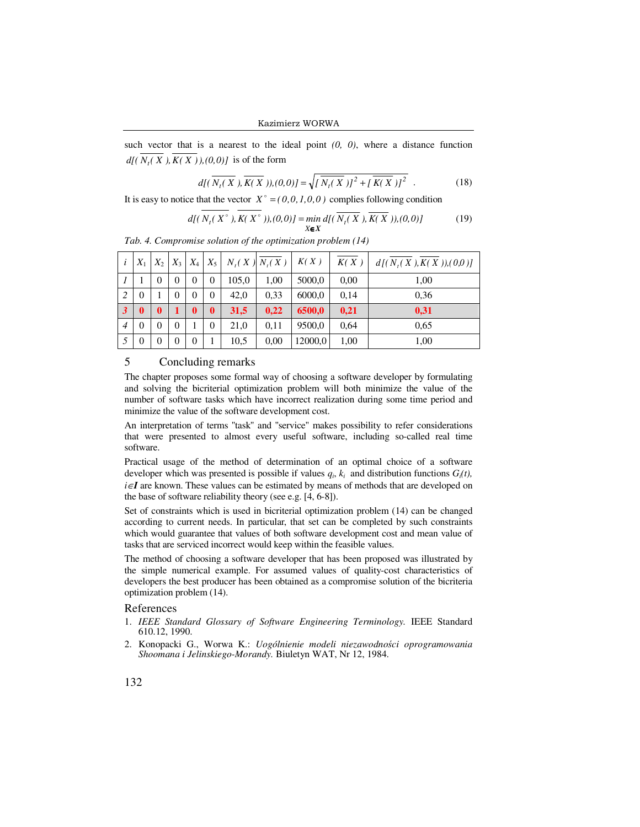such vector that is a nearest to the ideal point  $(0, 0)$ , where a distance function  $d[(N_t(X), K(X), K(X))$ ,  $(0, 0)]$  is of the form

$$
d[(\overline{N_t(X)}, \overline{K(X)}), (0,0)] = \sqrt{[\overline{N_t(X)}]^2 + [\overline{K(X)}]^2} \tag{18}
$$

It is easy to notice that the vector  $X^{\circ} = (0,0,1,0,0)$  complies following condition

$$
d[(N_t(X^{\circ}), K(X^{\circ})), (0,0)] = \min_{X \in X} d[(\overline{N_t(X)}, \overline{K(X)}), (0,0)] \tag{19}
$$

*Tab. 4. Compromise solution of the optimization problem (14)* 

|                | $X_1$        | $X_2$          |          |          |   |       | $X_3   X_4   X_5   N_{\tau}(X)   \overline{N_{\tau}(X)}   K(X)$ |         | K(X) | $d[(N_t(X), K(X))$ , (0,0)] |
|----------------|--------------|----------------|----------|----------|---|-------|-----------------------------------------------------------------|---------|------|-----------------------------|
|                |              | $\theta$       | $\theta$ | $\theta$ |   | 105,0 | 1.00                                                            | 5000,0  | 0,00 | 1,00                        |
| 2              | $\Omega$     |                | $\theta$ | $\theta$ |   | 42.0  | 0.33                                                            | 6000,0  | 0.14 | 0.36                        |
| $\overline{3}$ | $\mathbf{0}$ | $\mathbf{0}$   |          | 0        | 0 | 31,5  | 0.22                                                            | 6500,0  | 0,21 | 0,31                        |
| $\overline{4}$ | $\Omega$     | $\Omega$       | $\theta$ |          | 0 | 21,0  | 0.11                                                            | 9500,0  | 0.64 | 0.65                        |
|                | $\Omega$     | $\overline{0}$ | $\theta$ | $\Omega$ |   | 10,5  | 0,00                                                            | 12000,0 | 1,00 | 1,00                        |

## 5 Concluding remarks

The chapter proposes some formal way of choosing a software developer by formulating and solving the bicriterial optimization problem will both minimize the value of the number of software tasks which have incorrect realization during some time period and minimize the value of the software development cost.

An interpretation of terms ''task'' and ''service'' makes possibility to refer considerations that were presented to almost every useful software, including so-called real time software.

Practical usage of the method of determination of an optimal choice of a software developer which was presented is possible if values  $q_i$ ,  $k_i$  and distribution functions  $G_i(t)$ , *i*∈*I* are known. These values can be estimated by means of methods that are developed on the base of software reliability theory (see e.g. [4, 6-8]).

Set of constraints which is used in bicriterial optimization problem (14) can be changed according to current needs. In particular, that set can be completed by such constraints which would guarantee that values of both software development cost and mean value of tasks that are serviced incorrect would keep within the feasible values.

The method of choosing a software developer that has been proposed was illustrated by the simple numerical example. For assumed values of quality-cost characteristics of developers the best producer has been obtained as a compromise solution of the bicriteria optimization problem (14).

#### References

- 1. *IEEE Standard Glossary of Software Engineering Terminology.* IEEE Standard 610.12, 1990.
- 2. Konopacki G., Worwa K.: *Uogólnienie modeli niezawodności oprogramowania Shoomana i Jelinskiego-Morandy.* Biuletyn WAT, Nr 12, 1984.